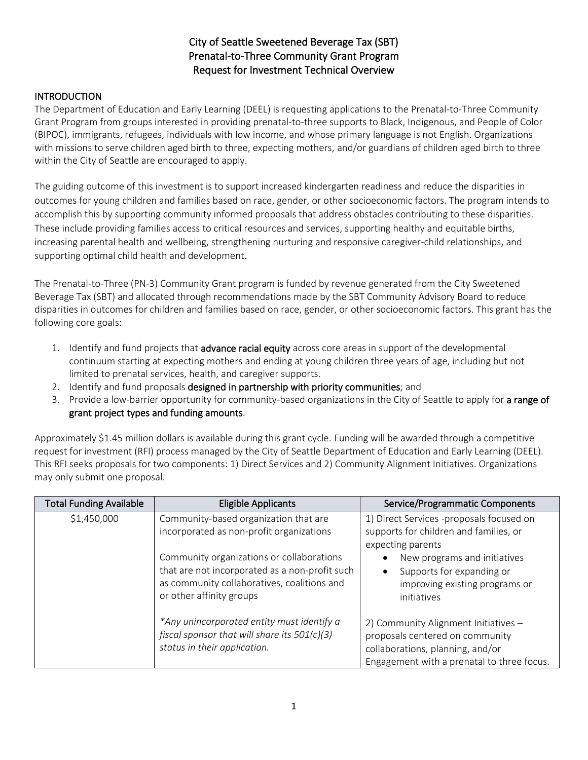# City of Seattle Sweetened Beverage Tax (SBT) Prenatal-to-Three Community Grant Program Request for Investment Technical Overview

## **INTRODUCTION**

The Department of Education and Early Learning (DEEL) is requesting applications to the Prenatal-to-Three Community Grant Program from groups interested in providing prenatal-to-three supports to Black, Indigenous, and People of Color (BIPOC), immigrants, refugees, individuals with low income, and whose primary language is not English. Organizations with missions to serve children aged birth to three, expecting mothers, and/or guardians of children aged birth to three within the City of Seattle are encouraged to apply.

The guiding outcome of this investment is to support increased kindergarten readiness and reduce the disparities in outcomes for young children and families based on race, gender, or other socioeconomic factors. The program intends to accomplish this by supporting community informed proposals that address obstacles contributing to these disparities. These include providing families access to critical resources and services, supporting healthy and equitable births, increasing parental health and wellbeing, strengthening nurturing and responsive caregiver-child relationships, and supporting optimal child health and development.

The Prenatal-to-Three (PN-3) Community Grant program is funded by revenue generated from the City Sweetened Beverage Tax (SBT) and allocated through recommendations made by the SBT Community Advisory Board to reduce disparities in outcomes for children and families based on race, gender, or other socioeconomic factors. This grant has the following core goals:

- 1. Identify and fund projects that advance racial equity across core areas in support of the developmental continuum starting at expecting mothers and ending at young children three years of age, including but not limited to prenatal services, health, and caregiver supports.
- 2. Identify and fund proposals designed in partnership with priority communities; and
- 3. Provide a low-barrier opportunity for community-based organizations in the City of Seattle to apply for a range of grant project types and funding amounts.

Approximately \$1.45 million dollars is available during this grant cycle. Funding will be awarded through a competitive request for investment (RFI) process managed by the City of Seattle Department of Education and Early Learning (DEEL). This RFI seeks proposals for two components: 1) Direct Services and 2) Community Alignment Initiatives. Organizations may only submit one proposal.

| <b>Total Funding Available</b> | <b>Eligible Applicants</b>                                                                                                                                             | Service/Programmatic Components                                                                                                                           |  |
|--------------------------------|------------------------------------------------------------------------------------------------------------------------------------------------------------------------|-----------------------------------------------------------------------------------------------------------------------------------------------------------|--|
| \$1,450,000                    | Community-based organization that are<br>incorporated as non-profit organizations                                                                                      | 1) Direct Services -proposals focused on<br>supports for children and families, or<br>expecting parents                                                   |  |
|                                | Community organizations or collaborations<br>that are not incorporated as a non-profit such<br>as community collaboratives, coalitions and<br>or other affinity groups | New programs and initiatives<br>Supports for expanding or<br>improving existing programs or<br>initiatives                                                |  |
|                                | *Any unincorporated entity must identify a<br>fiscal sponsor that will share its $501(c)(3)$<br>status in their application.                                           | 2) Community Alignment Initiatives -<br>proposals centered on community<br>collaborations, planning, and/or<br>Engagement with a prenatal to three focus. |  |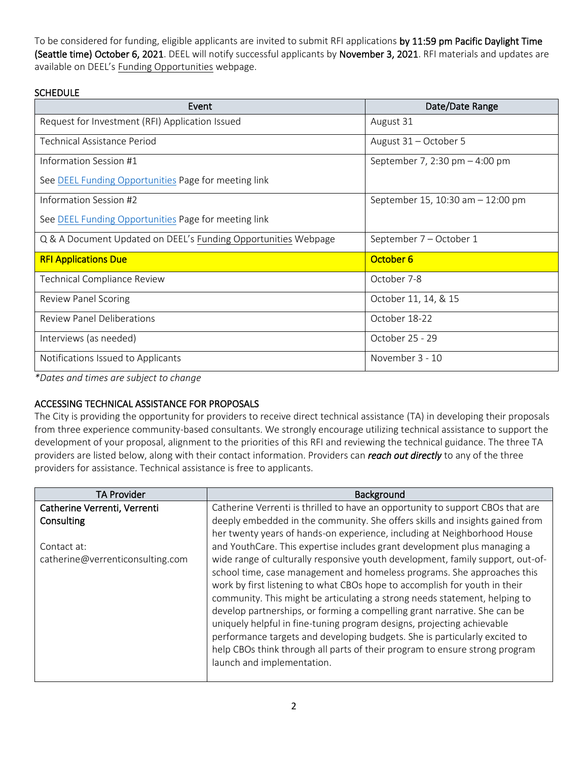To be considered for funding, eligible applicants are invited to submit RFI applications by 11:59 pm Pacific Daylight Time (Seattle time) October 6, 2021. DEEL will notify successful applicants by November 3, 2021. RFI materials and updates are available on DEEL's [Funding Opportunities](http://www.seattle.gov/education/for-providers/funding-opportunities) webpage.

## **SCHEDULE**

| Event                                                          | Date/Date Range                   |  |
|----------------------------------------------------------------|-----------------------------------|--|
| Request for Investment (RFI) Application Issued                | August 31                         |  |
| Technical Assistance Period                                    | August 31 - October 5             |  |
| Information Session #1                                         | September 7, 2:30 pm - 4:00 pm    |  |
| See DEEL Funding Opportunities Page for meeting link           |                                   |  |
| Information Session #2                                         | September 15, 10:30 am - 12:00 pm |  |
| See DEEL Funding Opportunities Page for meeting link           |                                   |  |
| Q & A Document Updated on DEEL's Funding Opportunities Webpage | September 7 - October 1           |  |
| <b>RFI Applications Due</b>                                    | October 6                         |  |
| Technical Compliance Review                                    | October 7-8                       |  |
| <b>Review Panel Scoring</b>                                    | October 11, 14, & 15              |  |
| <b>Review Panel Deliberations</b>                              | October 18-22                     |  |
| Interviews (as needed)                                         | October 25 - 29                   |  |
| Notifications Issued to Applicants                             | November 3 - 10                   |  |

*\*Dates and times are subject to change*

# ACCESSING TECHNICAL ASSISTANCE FOR PROPOSALS

The City is providing the opportunity for providers to receive direct technical assistance (TA) in developing their proposals from three experience community-based consultants. We strongly encourage utilizing technical assistance to support the development of your proposal, alignment to the priorities of this RFI and reviewing the technical guidance. The three TA providers are listed below, along with their contact information. Providers can *reach out directly* to any of the three providers for assistance. Technical assistance is free to applicants.

| <b>TA Provider</b>               | Background                                                                                                                                                                                                                                                                                                                                                                                                                                                                                                                                                                                                                                                              |
|----------------------------------|-------------------------------------------------------------------------------------------------------------------------------------------------------------------------------------------------------------------------------------------------------------------------------------------------------------------------------------------------------------------------------------------------------------------------------------------------------------------------------------------------------------------------------------------------------------------------------------------------------------------------------------------------------------------------|
| Catherine Verrenti, Verrenti     | Catherine Verrenti is thrilled to have an opportunity to support CBOs that are                                                                                                                                                                                                                                                                                                                                                                                                                                                                                                                                                                                          |
| Consulting                       | deeply embedded in the community. She offers skills and insights gained from                                                                                                                                                                                                                                                                                                                                                                                                                                                                                                                                                                                            |
|                                  | her twenty years of hands-on experience, including at Neighborhood House                                                                                                                                                                                                                                                                                                                                                                                                                                                                                                                                                                                                |
| Contact at:                      | and YouthCare. This expertise includes grant development plus managing a                                                                                                                                                                                                                                                                                                                                                                                                                                                                                                                                                                                                |
| catherine@verrenticonsulting.com | wide range of culturally responsive youth development, family support, out-of-<br>school time, case management and homeless programs. She approaches this<br>work by first listening to what CBOs hope to accomplish for youth in their<br>community. This might be articulating a strong needs statement, helping to<br>develop partnerships, or forming a compelling grant narrative. She can be<br>uniquely helpful in fine-tuning program designs, projecting achievable<br>performance targets and developing budgets. She is particularly excited to<br>help CBOs think through all parts of their program to ensure strong program<br>launch and implementation. |
|                                  |                                                                                                                                                                                                                                                                                                                                                                                                                                                                                                                                                                                                                                                                         |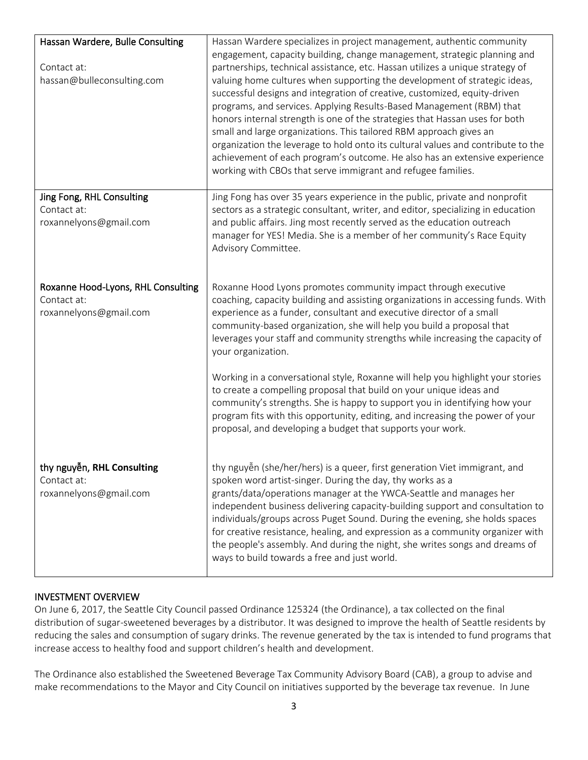| Hassan Wardere, Bulle Consulting<br>Contact at:<br>hassan@bulleconsulting.com | Hassan Wardere specializes in project management, authentic community<br>engagement, capacity building, change management, strategic planning and<br>partnerships, technical assistance, etc. Hassan utilizes a unique strategy of<br>valuing home cultures when supporting the development of strategic ideas,<br>successful designs and integration of creative, customized, equity-driven<br>programs, and services. Applying Results-Based Management (RBM) that<br>honors internal strength is one of the strategies that Hassan uses for both<br>small and large organizations. This tailored RBM approach gives an<br>organization the leverage to hold onto its cultural values and contribute to the<br>achievement of each program's outcome. He also has an extensive experience<br>working with CBOs that serve immigrant and refugee families. |
|-------------------------------------------------------------------------------|-------------------------------------------------------------------------------------------------------------------------------------------------------------------------------------------------------------------------------------------------------------------------------------------------------------------------------------------------------------------------------------------------------------------------------------------------------------------------------------------------------------------------------------------------------------------------------------------------------------------------------------------------------------------------------------------------------------------------------------------------------------------------------------------------------------------------------------------------------------|
| Jing Fong, RHL Consulting<br>Contact at:<br>roxannelyons@gmail.com            | Jing Fong has over 35 years experience in the public, private and nonprofit<br>sectors as a strategic consultant, writer, and editor, specializing in education<br>and public affairs. Jing most recently served as the education outreach<br>manager for YES! Media. She is a member of her community's Race Equity<br>Advisory Committee.                                                                                                                                                                                                                                                                                                                                                                                                                                                                                                                 |
| Roxanne Hood-Lyons, RHL Consulting<br>Contact at:<br>roxannelyons@gmail.com   | Roxanne Hood Lyons promotes community impact through executive<br>coaching, capacity building and assisting organizations in accessing funds. With<br>experience as a funder, consultant and executive director of a small<br>community-based organization, she will help you build a proposal that<br>leverages your staff and community strengths while increasing the capacity of<br>your organization.                                                                                                                                                                                                                                                                                                                                                                                                                                                  |
|                                                                               | Working in a conversational style, Roxanne will help you highlight your stories<br>to create a compelling proposal that build on your unique ideas and<br>community's strengths. She is happy to support you in identifying how your<br>program fits with this opportunity, editing, and increasing the power of your<br>proposal, and developing a budget that supports your work.                                                                                                                                                                                                                                                                                                                                                                                                                                                                         |
| thy nguyễn, RHL Consulting<br>Contact at:<br>roxannelyons@gmail.com           | thy nguyễn (she/her/hers) is a queer, first generation Viet immigrant, and<br>spoken word artist-singer. During the day, thy works as a<br>grants/data/operations manager at the YWCA-Seattle and manages her<br>independent business delivering capacity-building support and consultation to<br>individuals/groups across Puget Sound. During the evening, she holds spaces<br>for creative resistance, healing, and expression as a community organizer with<br>the people's assembly. And during the night, she writes songs and dreams of<br>ways to build towards a free and just world.                                                                                                                                                                                                                                                              |

### INVESTMENT OVERVIEW

On June 6, 2017, the Seattle City Council passed Ordinance 125324 (the Ordinance), a tax collected on the final distribution of sugar-sweetened beverages by a distributor. It was designed to improve the health of Seattle residents by reducing the sales and consumption of sugary drinks. The revenue generated by the tax is intended to fund programs that increase access to healthy food and support children's health and development.

The Ordinance also established the Sweetened Beverage Tax Community Advisory Board (CAB), a group to advise and make recommendations to the Mayor and City Council on initiatives supported by the beverage tax revenue. In June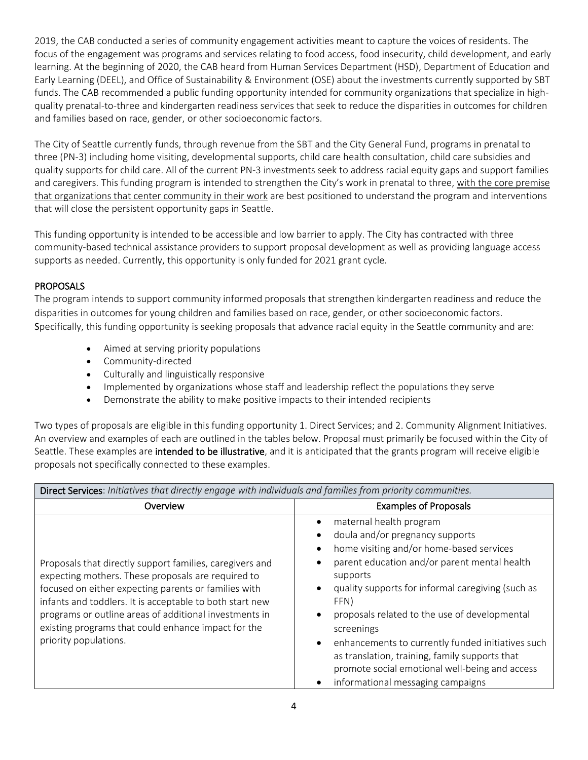2019, the CAB conducted a series of [community engagement activities](https://www.seattle.gov/Documents/Departments/SweetenedBeverageTaxCommAdvisoryBoard/CommunityEngagement/PriorityCommunityEngagement_SummaryReport_FINAL_4.23.20.pdf) meant to capture the voices of residents. The focus of the engagement was programs and services relating to food access, food insecurity, child development, and early learning. At the beginning of 2020, the CAB heard from Human Services Department (HSD), Department of Education and Early Learning (DEEL), and Office of Sustainability & Environment (OSE) about the investments currently supported by SBT funds. The CAB recommended a public funding opportunity intended for community organizations that specialize in highquality prenatal-to-three and kindergarten readiness services that seek to reduce the disparities in outcomes for children and families based on race, gender, or other socioeconomic factors.

The City of Seattle currently funds, through revenue from the SBT and the City General Fund, programs in prenatal to three (PN-3) including home visiting, developmental supports, child care health consultation, child care subsidies and quality supports for child care. All of the current PN-3 investments seek to address racial equity gaps and support families and caregivers. This funding program is intended to strengthen the City's work in prenatal to three, with the core premise that organizations that center community in their work are best positioned to understand the program and interventions that will close the persistent opportunity gaps in Seattle.

This funding opportunity is intended to be accessible and low barrier to apply. The City has contracted with three community-based technical assistance providers to support proposal development as well as providing language access supports as needed. Currently, this opportunity is only funded for 2021 grant cycle.

## **PROPOSALS**

The program intends to support community informed proposals that strengthen kindergarten readiness and reduce the disparities in outcomes for young children and families based on race, gender, or other socioeconomic factors. Specifically, this funding opportunity is seeking proposals that advance racial equity in the Seattle community and are:

- Aimed at serving priority populations
- Community-directed
- Culturally and linguistically responsive
- Implemented by organizations whose staff and leadership reflect the populations they serve
- Demonstrate the ability to make positive impacts to their intended recipients

Two types of proposals are eligible in this funding opportunity 1. Direct Services; and 2. Community Alignment Initiatives. An overview and examples of each are outlined in the tables below. Proposal must primarily be focused within the City of Seattle. These examples are intended to be illustrative, and it is anticipated that the grants program will receive eligible proposals not specifically connected to these examples.

| Direct Services: Initiatives that directly engage with individuals and families from priority communities.                                                                                                                                                                                                                                                                   |                                                                                                                                                                                                                                                                                                                                                                                                                                                                                              |  |  |
|------------------------------------------------------------------------------------------------------------------------------------------------------------------------------------------------------------------------------------------------------------------------------------------------------------------------------------------------------------------------------|----------------------------------------------------------------------------------------------------------------------------------------------------------------------------------------------------------------------------------------------------------------------------------------------------------------------------------------------------------------------------------------------------------------------------------------------------------------------------------------------|--|--|
| Overview                                                                                                                                                                                                                                                                                                                                                                     | <b>Examples of Proposals</b>                                                                                                                                                                                                                                                                                                                                                                                                                                                                 |  |  |
| Proposals that directly support families, caregivers and<br>expecting mothers. These proposals are required to<br>focused on either expecting parents or families with<br>infants and toddlers. It is acceptable to both start new<br>programs or outline areas of additional investments in<br>existing programs that could enhance impact for the<br>priority populations. | maternal health program<br>doula and/or pregnancy supports<br>home visiting and/or home-based services<br>parent education and/or parent mental health<br>supports<br>quality supports for informal caregiving (such as<br>FFN)<br>proposals related to the use of developmental<br>screenings<br>enhancements to currently funded initiatives such<br>as translation, training, family supports that<br>promote social emotional well-being and access<br>informational messaging campaigns |  |  |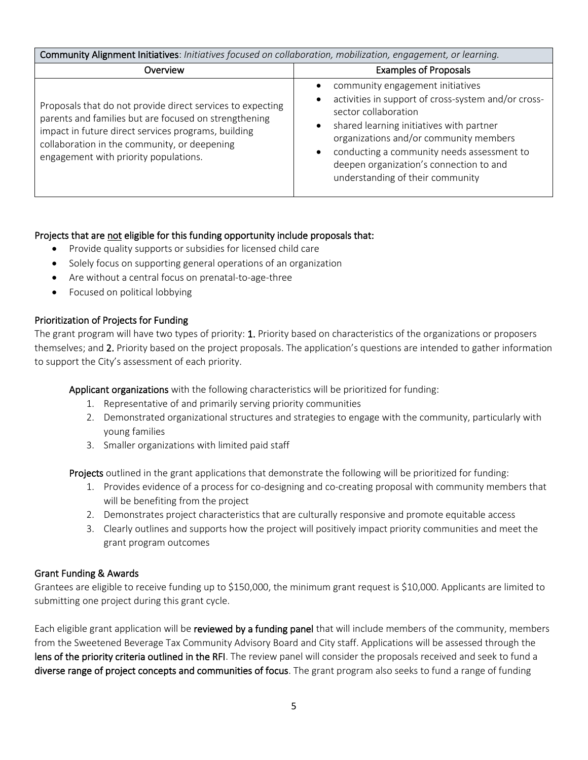| Community Alignment Initiatives: Initiatives focused on collaboration, mobilization, engagement, or learning.                                                                                                                                                       |                                                                                                                                                                                                                                                                                                                                    |  |
|---------------------------------------------------------------------------------------------------------------------------------------------------------------------------------------------------------------------------------------------------------------------|------------------------------------------------------------------------------------------------------------------------------------------------------------------------------------------------------------------------------------------------------------------------------------------------------------------------------------|--|
| Overview                                                                                                                                                                                                                                                            | <b>Examples of Proposals</b>                                                                                                                                                                                                                                                                                                       |  |
| Proposals that do not provide direct services to expecting<br>parents and families but are focused on strengthening<br>impact in future direct services programs, building<br>collaboration in the community, or deepening<br>engagement with priority populations. | community engagement initiatives<br>activities in support of cross-system and/or cross-<br>sector collaboration<br>shared learning initiatives with partner<br>organizations and/or community members<br>conducting a community needs assessment to<br>deepen organization's connection to and<br>understanding of their community |  |

## Projects that are not eligible for this funding opportunity include proposals that:

- Provide quality supports or subsidies for licensed child care
- Solely focus on supporting general operations of an organization
- Are without a central focus on prenatal-to-age-three
- Focused on political lobbying

## Prioritization of Projects for Funding

The grant program will have two types of priority: 1. Priority based on characteristics of the organizations or proposers themselves; and 2. Priority based on the project proposals. The application's questions are intended to gather information to support the City's assessment of each priority.

Applicant organizations with the following characteristics will be prioritized for funding:

- 1. Representative of and primarily serving priority communities
- 2. Demonstrated organizational structures and strategies to engage with the community, particularly with young families
- 3. Smaller organizations with limited paid staff

Projects outlined in the grant applications that demonstrate the following will be prioritized for funding:

- 1. Provides evidence of a process for co-designing and co-creating proposal with community members that will be benefiting from the project
- 2. Demonstrates project characteristics that are culturally responsive and promote equitable access
- 3. Clearly outlines and supports how the project will positively impact priority communities and meet the grant program outcomes

### Grant Funding & Awards

Grantees are eligible to receive funding up to \$150,000, the minimum grant request is \$10,000. Applicants are limited to submitting one project during this grant cycle.

Each eligible grant application will be reviewed by a funding panel that will include members of the community, members from the Sweetened Beverage Tax Community Advisory Board and City staff. Applications will be assessed through the lens of the priority criteria outlined in the RFI. The review panel will consider the proposals received and seek to fund a diverse range of project concepts and communities of focus. The grant program also seeks to fund a range of funding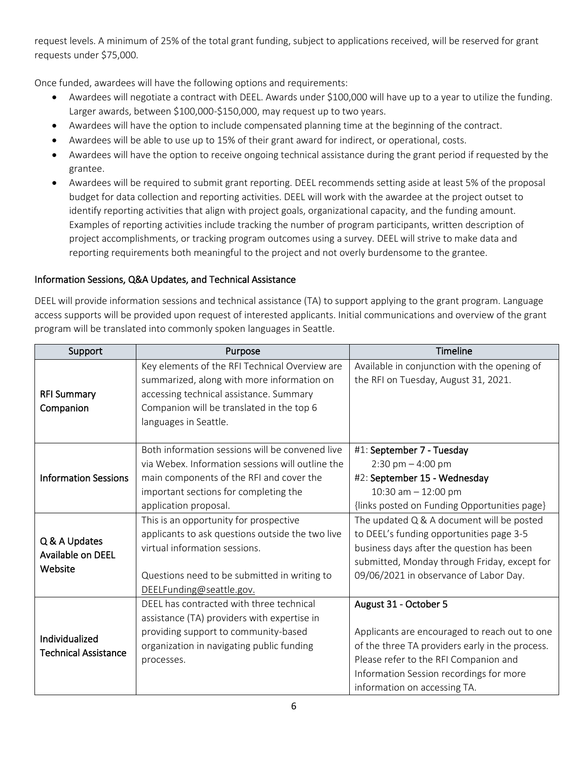request levels. A minimum of 25% of the total grant funding, subject to applications received, will be reserved for grant requests under \$75,000.

Once funded, awardees will have the following options and requirements:

- Awardees will negotiate a contract with DEEL. Awards under \$100,000 will have up to a year to utilize the funding. Larger awards, between \$100,000-\$150,000, may request up to two years.
- Awardees will have the option to include compensated planning time at the beginning of the contract.
- Awardees will be able to use up to 15% of their grant award for indirect, or operational, costs.
- Awardees will have the option to receive ongoing technical assistance during the grant period if requested by the grantee.
- Awardees will be required to submit grant reporting. DEEL recommends setting aside at least 5% of the proposal budget for data collection and reporting activities. DEEL will work with the awardee at the project outset to identify reporting activities that align with project goals, organizational capacity, and the funding amount. Examples of reporting activities include tracking the number of program participants, written description of project accomplishments, or tracking program outcomes using a survey. DEEL will strive to make data and reporting requirements both meaningful to the project and not overly burdensome to the grantee.

# Information Sessions, Q&A Updates, and Technical Assistance

DEEL will provide information sessions and technical assistance (TA) to support applying to the grant program. Language access supports will be provided upon request of interested applicants. Initial communications and overview of the grant program will be translated into commonly spoken languages in Seattle.

| Support                                       | Purpose                                                                                                                                                                                                           | <b>Timeline</b>                                                                                                                                                                                                                               |
|-----------------------------------------------|-------------------------------------------------------------------------------------------------------------------------------------------------------------------------------------------------------------------|-----------------------------------------------------------------------------------------------------------------------------------------------------------------------------------------------------------------------------------------------|
| <b>RFI Summary</b><br>Companion               | Key elements of the RFI Technical Overview are<br>summarized, along with more information on<br>accessing technical assistance. Summary<br>Companion will be translated in the top 6<br>languages in Seattle.     | Available in conjunction with the opening of<br>the RFI on Tuesday, August 31, 2021.                                                                                                                                                          |
| <b>Information Sessions</b>                   | Both information sessions will be convened live<br>via Webex. Information sessions will outline the<br>main components of the RFI and cover the<br>important sections for completing the<br>application proposal. | #1: September 7 - Tuesday<br>2:30 pm $-$ 4:00 pm<br>#2: September 15 - Wednesday<br>10:30 am $-$ 12:00 pm<br>{links posted on Funding Opportunities page}                                                                                     |
| Q & A Updates<br>Available on DEEL<br>Website | This is an opportunity for prospective<br>applicants to ask questions outside the two live<br>virtual information sessions.<br>Questions need to be submitted in writing to<br>DEELFunding@seattle.gov.           | The updated Q & A document will be posted<br>to DEEL's funding opportunities page 3-5<br>business days after the question has been<br>submitted, Monday through Friday, except for<br>09/06/2021 in observance of Labor Day.                  |
| Individualized<br><b>Technical Assistance</b> | DEEL has contracted with three technical<br>assistance (TA) providers with expertise in<br>providing support to community-based<br>organization in navigating public funding<br>processes.                        | August 31 - October 5<br>Applicants are encouraged to reach out to one<br>of the three TA providers early in the process.<br>Please refer to the RFI Companion and<br>Information Session recordings for more<br>information on accessing TA. |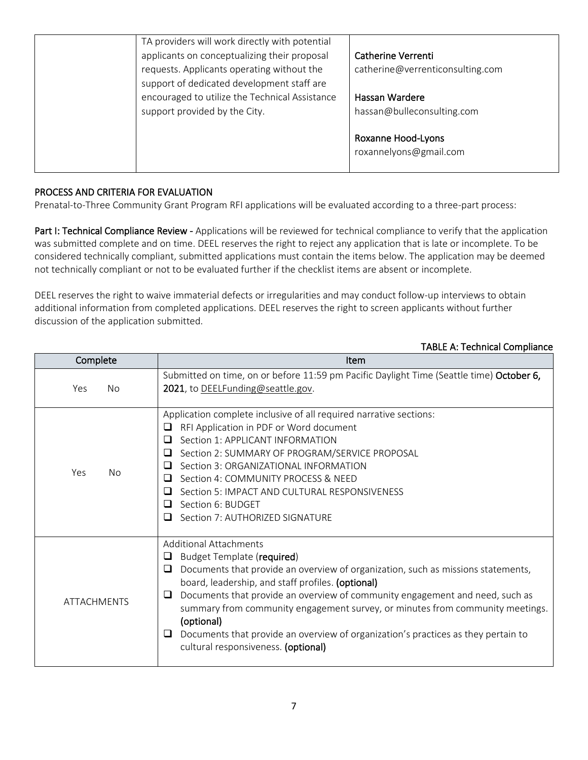| TA providers will work directly with potential<br>applicants on conceptualizing their proposal<br>requests. Applicants operating without the<br>support of dedicated development staff are | Catherine Verrenti<br>catherine@verrenticonsulting.com |
|--------------------------------------------------------------------------------------------------------------------------------------------------------------------------------------------|--------------------------------------------------------|
| encouraged to utilize the Technical Assistance<br>support provided by the City.                                                                                                            | Hassan Wardere<br>hassan@bulleconsulting.com           |
|                                                                                                                                                                                            | Roxanne Hood-Lyons<br>roxannelyons@gmail.com           |

## PROCESS AND CRITERIA FOR EVALUATION

Prenatal-to-Three Community Grant Program RFI applications will be evaluated according to a three-part process:

Part I: Technical Compliance Review - Applications will be reviewed for technical compliance to verify that the application was submitted complete and on time. DEEL reserves the right to reject any application that is late or incomplete. To be considered technically compliant, submitted applications must contain the items below. The application may be deemed not technically compliant or not to be evaluated further if the checklist items are absent or incomplete.

DEEL reserves the right to waive immaterial defects or irregularities and may conduct follow-up interviews to obtain additional information from completed applications. DEEL reserves the right to screen applicants without further discussion of the application submitted.

#### TABLE A: Technical Compliance

| Complete           | Item                                                                                                                                                                                                                                                                                                                                                                                                                                                                                                                           |
|--------------------|--------------------------------------------------------------------------------------------------------------------------------------------------------------------------------------------------------------------------------------------------------------------------------------------------------------------------------------------------------------------------------------------------------------------------------------------------------------------------------------------------------------------------------|
| Yes<br><b>No</b>   | Submitted on time, on or before 11:59 pm Pacific Daylight Time (Seattle time) October 6,<br>2021, to DEELFunding@seattle.gov.                                                                                                                                                                                                                                                                                                                                                                                                  |
| Yes<br>No.         | Application complete inclusive of all required narrative sections:<br>RFI Application in PDF or Word document<br>⊔<br>Section 1: APPLICANT INFORMATION<br>□<br>Section 2: SUMMARY OF PROGRAM/SERVICE PROPOSAL<br>ப<br>Section 3: ORGANIZATIONAL INFORMATION<br>□<br>Section 4: COMMUNITY PROCESS & NEED<br>ப<br>Section 5: IMPACT AND CULTURAL RESPONSIVENESS<br>□<br>Section 6: BUDGET<br>ப<br>Section 7: AUTHORIZED SIGNATURE<br>ப                                                                                           |
| <b>ATTACHMENTS</b> | <b>Additional Attachments</b><br>Budget Template (required)<br>Documents that provide an overview of organization, such as missions statements,<br>⊔<br>board, leadership, and staff profiles. (optional)<br>Documents that provide an overview of community engagement and need, such as<br>⊔<br>summary from community engagement survey, or minutes from community meetings.<br>(optional)<br>Documents that provide an overview of organization's practices as they pertain to<br>⊔<br>cultural responsiveness. (optional) |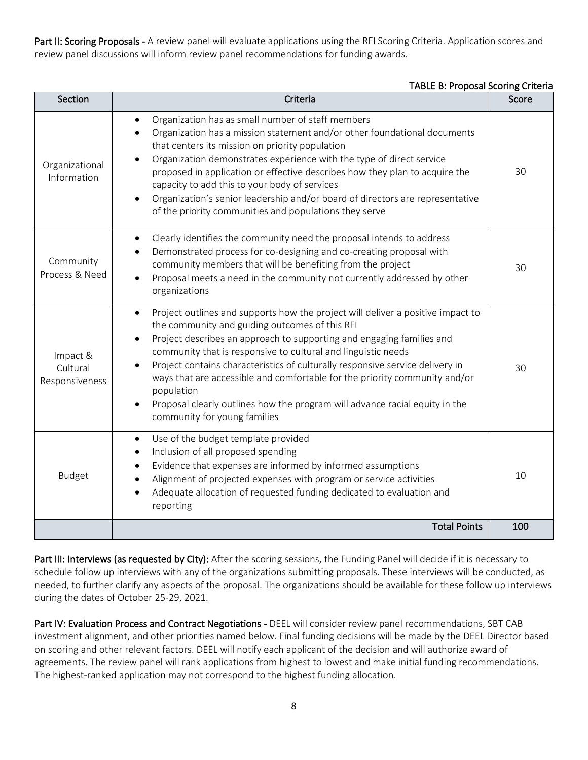Part II: Scoring Proposals - A review panel will evaluate applications using the RFI Scoring Criteria. Application scores and review panel discussions will inform review panel recommendations for funding awards.

#### TABLE B: Proposal Scoring Criteria

| Section                                | Criteria                                                                                                                                                                                                                                                                                                                                                                                                                                                                                                                                                                                                       | Score |
|----------------------------------------|----------------------------------------------------------------------------------------------------------------------------------------------------------------------------------------------------------------------------------------------------------------------------------------------------------------------------------------------------------------------------------------------------------------------------------------------------------------------------------------------------------------------------------------------------------------------------------------------------------------|-------|
| Organizational<br>Information          | Organization has as small number of staff members<br>Organization has a mission statement and/or other foundational documents<br>that centers its mission on priority population<br>Organization demonstrates experience with the type of direct service<br>$\bullet$<br>proposed in application or effective describes how they plan to acquire the<br>capacity to add this to your body of services<br>Organization's senior leadership and/or board of directors are representative<br>of the priority communities and populations they serve                                                               | 30    |
| Community<br>Process & Need            | Clearly identifies the community need the proposal intends to address<br>$\bullet$<br>Demonstrated process for co-designing and co-creating proposal with<br>community members that will be benefiting from the project<br>Proposal meets a need in the community not currently addressed by other<br>$\bullet$<br>organizations                                                                                                                                                                                                                                                                               | 30    |
| Impact &<br>Cultural<br>Responsiveness | Project outlines and supports how the project will deliver a positive impact to<br>$\bullet$<br>the community and guiding outcomes of this RFI<br>Project describes an approach to supporting and engaging families and<br>$\bullet$<br>community that is responsive to cultural and linguistic needs<br>Project contains characteristics of culturally responsive service delivery in<br>ways that are accessible and comfortable for the priority community and/or<br>population<br>Proposal clearly outlines how the program will advance racial equity in the<br>$\bullet$<br>community for young families | 30    |
| <b>Budget</b>                          | Use of the budget template provided<br>$\bullet$<br>Inclusion of all proposed spending<br>$\bullet$<br>Evidence that expenses are informed by informed assumptions<br>Alignment of projected expenses with program or service activities<br>Adequate allocation of requested funding dedicated to evaluation and<br>reporting                                                                                                                                                                                                                                                                                  | 10    |
|                                        | <b>Total Points</b>                                                                                                                                                                                                                                                                                                                                                                                                                                                                                                                                                                                            | 100   |

Part III: Interviews (as requested by City): After the scoring sessions, the Funding Panel will decide if it is necessary to schedule follow up interviews with any of the organizations submitting proposals. These interviews will be conducted, as needed, to further clarify any aspects of the proposal. The organizations should be available for these follow up interviews during the dates of October 25-29, 2021.

Part IV: Evaluation Process and Contract Negotiations - DEEL will consider review panel recommendations, SBT CAB investment alignment, and other priorities named below. Final funding decisions will be made by the DEEL Director based on scoring and other relevant factors. DEEL will notify each applicant of the decision and will authorize award of agreements. The review panel will rank applications from highest to lowest and make initial funding recommendations. The highest-ranked application may not correspond to the highest funding allocation.